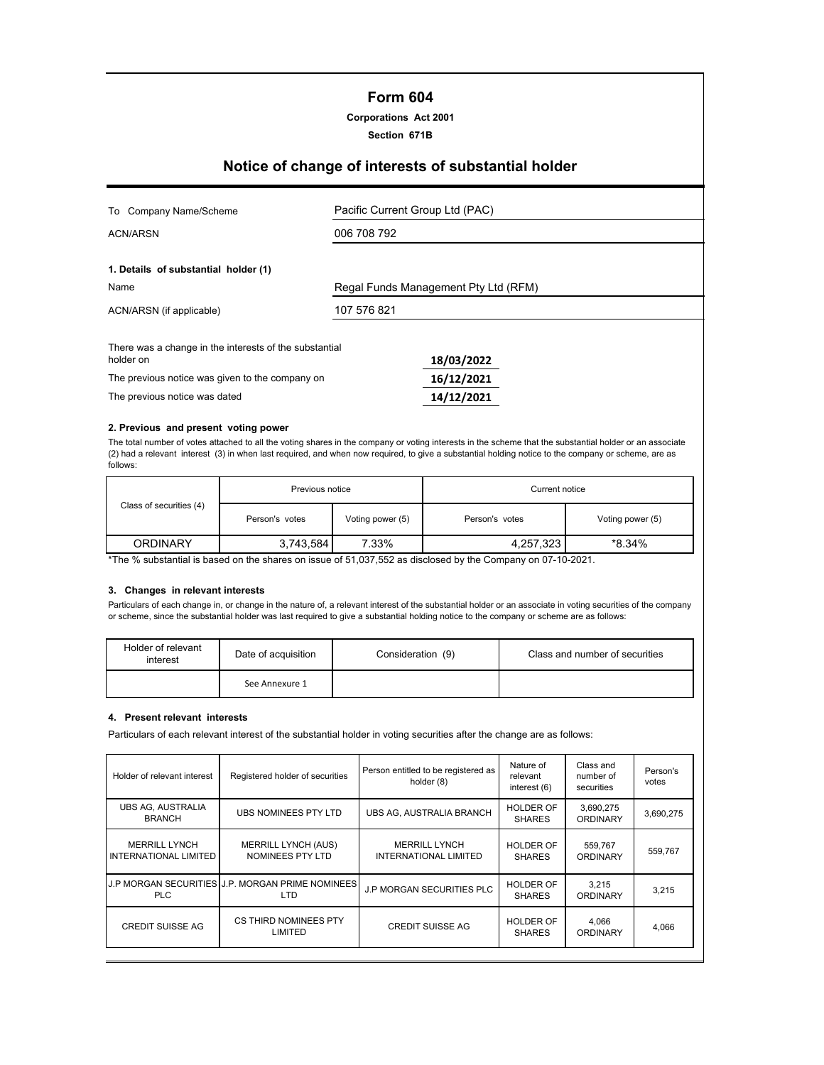# **Form 604**

**Section 671B**

# **Notice of change of interests of substantial holder**

| To Company Name/Scheme                                              | Pacific Current Group Ltd (PAC) |                                      |  |  |
|---------------------------------------------------------------------|---------------------------------|--------------------------------------|--|--|
| <b>ACN/ARSN</b>                                                     | 006 708 792                     |                                      |  |  |
| 1. Details of substantial holder (1)                                |                                 |                                      |  |  |
| Name                                                                |                                 | Regal Funds Management Pty Ltd (RFM) |  |  |
| ACN/ARSN (if applicable)                                            | 107 576 821                     |                                      |  |  |
| There was a change in the interests of the substantial<br>holder on |                                 | 18/03/2022                           |  |  |
| The previous notice was given to the company on                     |                                 | 16/12/2021                           |  |  |
| The previous notice was dated                                       |                                 | 14/12/2021                           |  |  |

#### **2. Previous and present voting power**

The total number of votes attached to all the voting shares in the company or voting interests in the scheme that the substantial holder or an associate (2) had a relevant interest (3) in when last required, and when now required, to give a substantial holding notice to the company or scheme, are as follows:

|                         | Previous notice |                  | Current notice      |                  |  |
|-------------------------|-----------------|------------------|---------------------|------------------|--|
| Class of securities (4) | Person's votes  | Voting power (5) | Person's votes      | Voting power (5) |  |
| <b>ORDINARY</b>         | 3,743,584       | 7.33%            | *8.34%<br>4,257,323 |                  |  |

\*The % substantial is based on the shares on issue of 51,037,552 as disclosed by the Company on 07-10-2021.

## **3. Changes in relevant interests**

Particulars of each change in, or change in the nature of, a relevant interest of the substantial holder or an associate in voting securities of the company or scheme, since the substantial holder was last required to give a substantial holding notice to the company or scheme are as follows:

| Holder of relevant<br>interest | Date of acquisition | Consideration (9) | Class and number of securities |  |  |
|--------------------------------|---------------------|-------------------|--------------------------------|--|--|
|                                | See Annexure 1      |                   |                                |  |  |

#### **4. Present relevant interests**

Particulars of each relevant interest of the substantial holder in voting securities after the change are as follows:

| Holder of relevant interest                          | Registered holder of securities                         | Person entitled to be registered as<br>holder (8)    | Nature of<br>relevant<br>interest (6) | Class and<br>number of<br>securities | Person's<br>votes |
|------------------------------------------------------|---------------------------------------------------------|------------------------------------------------------|---------------------------------------|--------------------------------------|-------------------|
| <b>UBS AG, AUSTRALIA</b><br><b>BRANCH</b>            | UBS NOMINEES PTY LTD                                    | UBS AG, AUSTRALIA BRANCH                             | <b>HOLDER OF</b><br><b>SHARES</b>     | 3,690,275<br><b>ORDINARY</b>         | 3,690,275         |
| <b>MERRILL LYNCH</b><br><b>INTERNATIONAL LIMITED</b> | <b>MERRILL LYNCH (AUS)</b><br>NOMINEES PTY LTD          | <b>MERRILL LYNCH</b><br><b>INTERNATIONAL LIMITED</b> | <b>HOLDER OF</b><br><b>SHARES</b>     | 559,767<br>ORDINARY                  | 559,767           |
| PLC.                                                 | J.P MORGAN SECURITIES J.P. MORGAN PRIME NOMINEES<br>LTD | <b>J.P MORGAN SECURITIES PLC</b>                     | <b>HOLDER OF</b><br><b>SHARES</b>     | 3.215<br><b>ORDINARY</b>             | 3,215             |
| <b>CREDIT SUISSE AG</b>                              | <b>CS THIRD NOMINEES PTY</b><br>LIMITED                 | CREDIT SUISSE AG                                     | <b>HOLDER OF</b><br><b>SHARES</b>     | 4.066<br><b>ORDINARY</b>             | 4,066             |